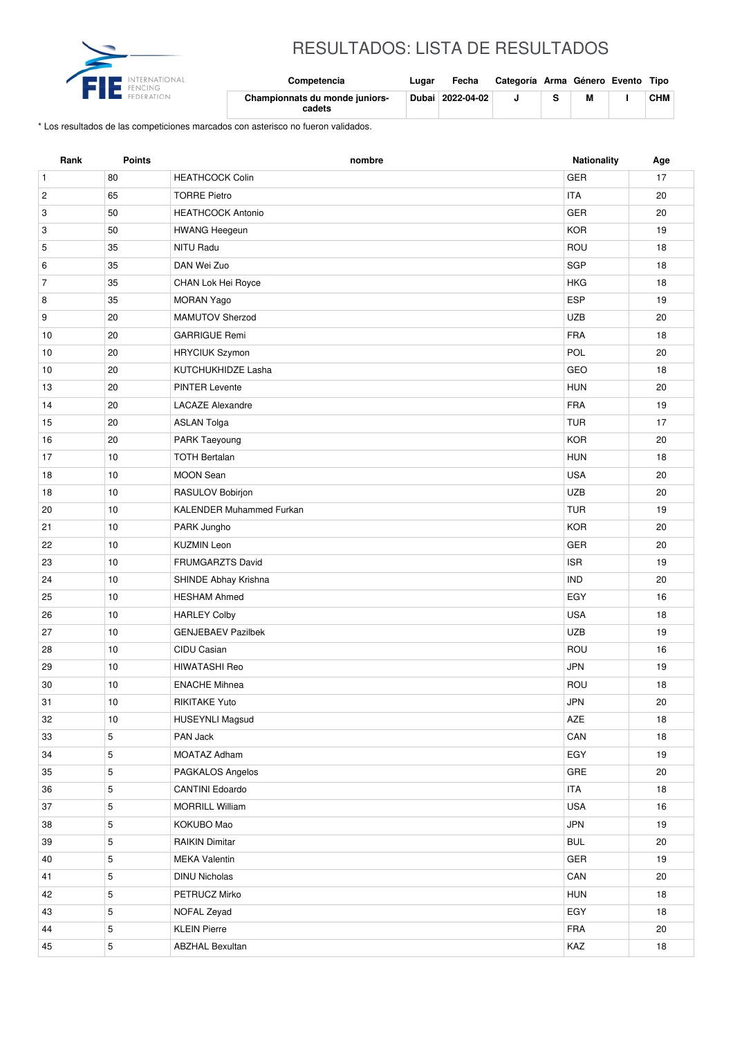

## RESULTADOS: LISTA DE RESULTADOS

| <b>ENCING</b> | Competencia                              | Lugar | Fecha            | Categoría Arma Género Evento Tipo |  |            |
|---------------|------------------------------------------|-------|------------------|-----------------------------------|--|------------|
|               | Championnats du monde juniors-<br>cadets |       | Dubai 2022-04-02 |                                   |  | <b>CHM</b> |

\* Los resultados de las competiciones marcados con asterisco no fueron validados.

| Rank           | <b>Points</b> | nombre                    | Nationality | Age    |
|----------------|---------------|---------------------------|-------------|--------|
| $\mathbf{1}$   | 80            | <b>HEATHCOCK Colin</b>    | <b>GER</b>  | 17     |
| $\overline{c}$ | 65            | <b>TORRE Pietro</b>       | <b>ITA</b>  | 20     |
| 3              | 50            | <b>HEATHCOCK Antonio</b>  | GER         | 20     |
| 3              | 50            | <b>HWANG Heegeun</b>      | <b>KOR</b>  | 19     |
| 5              | 35            | <b>NITU Radu</b>          | ROU         | 18     |
| 6              | 35            | DAN Wei Zuo               | SGP         | 18     |
| $\overline{7}$ | 35            | CHAN Lok Hei Royce        | <b>HKG</b>  | 18     |
| 8              | 35            | <b>MORAN Yago</b>         | ESP         | 19     |
| 9              | 20            | <b>MAMUTOV Sherzod</b>    | <b>UZB</b>  | 20     |
| 10             | 20            | <b>GARRIGUE Remi</b>      | <b>FRA</b>  | 18     |
| 10             | 20            | <b>HRYCIUK Szymon</b>     | POL         | 20     |
| 10             | 20            | KUTCHUKHIDZE Lasha        | GEO         | 18     |
| 13             | 20            | <b>PINTER Levente</b>     | <b>HUN</b>  | 20     |
| 14             | 20            | <b>LACAZE Alexandre</b>   | <b>FRA</b>  | 19     |
| 15             | 20            | <b>ASLAN Tolga</b>        | <b>TUR</b>  | 17     |
| 16             | 20            | PARK Taeyoung             | <b>KOR</b>  | 20     |
| 17             | 10            | <b>TOTH Bertalan</b>      | <b>HUN</b>  | 18     |
| 18             | 10            | <b>MOON Sean</b>          | <b>USA</b>  | 20     |
| 18             | 10            | RASULOV Bobirjon          | <b>UZB</b>  | 20     |
| 20             | 10            | KALENDER Muhammed Furkan  | <b>TUR</b>  | 19     |
| 21             | 10            | PARK Jungho               | <b>KOR</b>  | 20     |
| 22             | 10            | <b>KUZMIN Leon</b>        | <b>GER</b>  | 20     |
| 23             | 10            | FRUMGARZTS David          | <b>ISR</b>  | 19     |
| 24             | 10            | SHINDE Abhay Krishna      | <b>IND</b>  | 20     |
| 25             | 10            | <b>HESHAM Ahmed</b>       | EGY         | 16     |
| 26             | 10            | <b>HARLEY Colby</b>       | <b>USA</b>  | 18     |
| 27             | 10            | <b>GENJEBAEV Pazilbek</b> | <b>UZB</b>  | 19     |
| 28             | 10            | CIDU Casian               | ROU         | 16     |
| 29             | 10            | <b>HIWATASHI Reo</b>      | <b>JPN</b>  | 19     |
| 30             | 10            | <b>ENACHE Mihnea</b>      | ROU         | 18     |
| 31             | $10$          | RIKITAKE Yuto             | JPN         | $20\,$ |
| 32             | 10            | <b>HUSEYNLI Magsud</b>    | AZE         | 18     |
| 33             | 5             | PAN Jack                  | CAN         | 18     |
| 34             | 5             | MOATAZ Adham              | EGY         | 19     |
| 35             | 5             | PAGKALOS Angelos          | GRE         | 20     |
| 36             | 5             | <b>CANTINI Edoardo</b>    | <b>ITA</b>  | 18     |
| 37             | $\,$ 5 $\,$   | <b>MORRILL William</b>    | <b>USA</b>  | 16     |
| 38             | 5             | KOKUBO Mao                | JPN         | 19     |
| 39             | 5             | <b>RAIKIN Dimitar</b>     | <b>BUL</b>  | 20     |
| 40             | 5             | <b>MEKA Valentin</b>      | GER         | 19     |
| 41             | 5             | <b>DINU Nicholas</b>      | CAN         | 20     |
| 42             | 5             | PETRUCZ Mirko             | <b>HUN</b>  | 18     |
| 43             | 5             | NOFAL Zeyad               | EGY         | 18     |
| 44             | $\sqrt{5}$    | <b>KLEIN Pierre</b>       | <b>FRA</b>  | 20     |
| 45             | 5             | <b>ABZHAL Bexultan</b>    | KAZ         | 18     |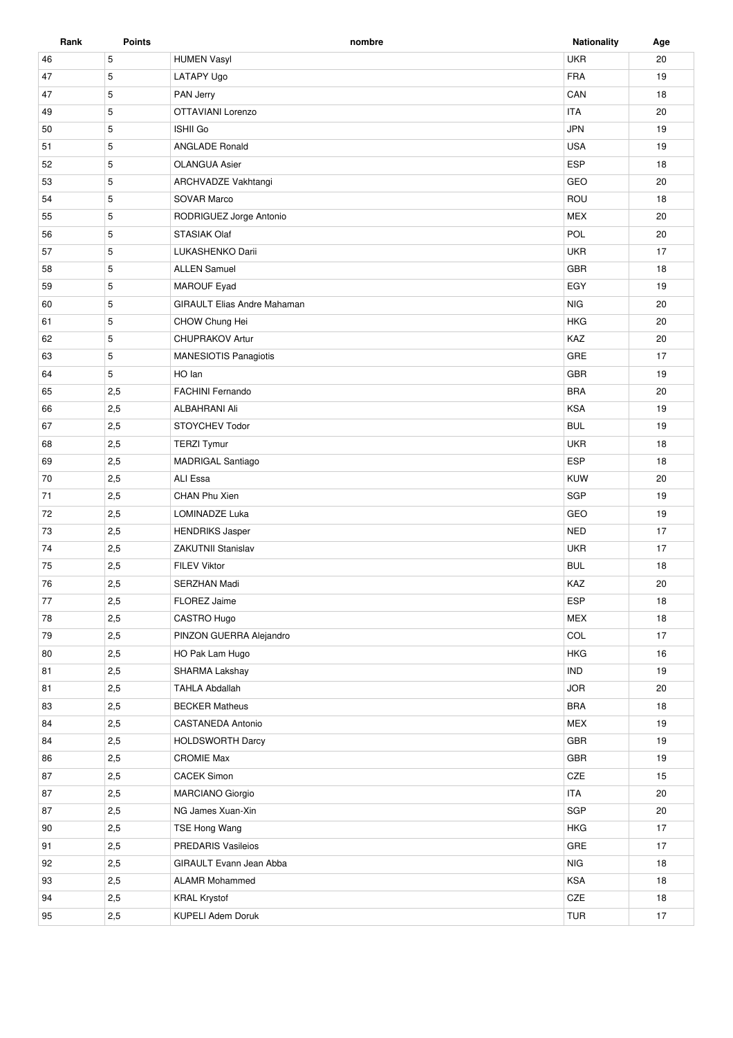| Rank     | Points      | nombre                             | <b>Nationality</b> | Age |
|----------|-------------|------------------------------------|--------------------|-----|
| 46       | 5           | <b>HUMEN Vasyl</b>                 | <b>UKR</b>         | 20  |
| 47       | 5           | LATAPY Ugo                         | <b>FRA</b>         | 19  |
| 47       | 5           | PAN Jerry                          | CAN                | 18  |
| 49       | 5           | OTTAVIANI Lorenzo                  | <b>ITA</b>         | 20  |
| 50       | 5           | <b>ISHII Go</b>                    | <b>JPN</b>         | 19  |
| 51       | 5           | <b>ANGLADE Ronald</b>              | <b>USA</b>         | 19  |
| 52       | 5           | <b>OLANGUA Asier</b>               | <b>ESP</b>         | 18  |
| 53       | 5           | ARCHVADZE Vakhtangi                | GEO                | 20  |
| 54       | 5           | SOVAR Marco                        | ROU                | 18  |
| 55       | 5           | RODRIGUEZ Jorge Antonio            | <b>MEX</b>         | 20  |
| 56       | 5           | STASIAK Olaf                       | POL                | 20  |
| 57       | 5           | LUKASHENKO Darii                   | <b>UKR</b>         | 17  |
| 58       | 5           | <b>ALLEN Samuel</b>                | <b>GBR</b>         | 18  |
| 59       | 5           | <b>MAROUF Eyad</b>                 | EGY                | 19  |
| 60       | 5           | <b>GIRAULT Elias Andre Mahaman</b> | <b>NIG</b>         | 20  |
| 61       | 5           | CHOW Chung Hei                     | <b>HKG</b>         | 20  |
| 62       | 5           | <b>CHUPRAKOV Artur</b>             | KAZ                | 20  |
| 63       | $\mathbf 5$ | <b>MANESIOTIS Panagiotis</b>       | GRE                | 17  |
| 64       | 5           | HO lan                             | GBR                | 19  |
| 65       | 2,5         | <b>FACHINI Fernando</b>            | <b>BRA</b>         | 20  |
| 66       | 2,5         | <b>ALBAHRANI Ali</b>               | <b>KSA</b>         | 19  |
| 67       | 2,5         | STOYCHEV Todor                     | <b>BUL</b>         | 19  |
| 68       | 2,5         | <b>TERZI Tymur</b>                 | <b>UKR</b>         | 18  |
| 69       | 2,5         | <b>MADRIGAL Santiago</b>           | <b>ESP</b>         | 18  |
| 70       | 2,5         | ALI Essa                           | KUW                | 20  |
| 71       | 2,5         | CHAN Phu Xien                      | <b>SGP</b>         | 19  |
| 72       | 2,5         | LOMINADZE Luka                     | GEO                | 19  |
| 73       | 2,5         | <b>HENDRIKS Jasper</b>             | <b>NED</b>         | 17  |
| 74       | 2,5         | <b>ZAKUTNII Stanislav</b>          | <b>UKR</b>         | 17  |
| 75       | 2,5         | <b>FILEV Viktor</b>                | <b>BUL</b>         | 18  |
| 76       | 2,5         | SERZHAN Madi                       | KAZ                | 20  |
| 77       | 2,5         | FLOREZ Jaime                       | <b>ESP</b>         | 18  |
| 78       | 2,5         | CASTRO Hugo                        | <b>MEX</b>         | 18  |
| 79       | 2,5         | PINZON GUERRA Alejandro            | COL                | 17  |
| 80       | 2,5         | HO Pak Lam Hugo                    | <b>HKG</b>         | 16  |
| 81       | 2,5         | SHARMA Lakshay                     | <b>IND</b>         | 19  |
| 81       | 2,5         | <b>TAHLA Abdallah</b>              | <b>JOR</b>         | 20  |
| 83       | 2,5         | <b>BECKER Matheus</b>              | <b>BRA</b>         | 18  |
| 84       | 2,5         | CASTANEDA Antonio                  | <b>MEX</b>         | 19  |
| 84       | 2,5         | <b>HOLDSWORTH Darcy</b>            | <b>GBR</b>         | 19  |
| 86       | 2,5         | <b>CROMIE Max</b>                  | GBR                | 19  |
| 87       | 2,5         | <b>CACEK Simon</b>                 | CZE                | 15  |
| 87       | 2,5         | MARCIANO Giorgio                   | <b>ITA</b>         | 20  |
| 87       | 2,5         | NG James Xuan-Xin                  | SGP                | 20  |
| 90       | 2,5         | TSE Hong Wang                      | <b>HKG</b>         | 17  |
|          |             | PREDARIS Vasileios                 | GRE                | 17  |
| 91<br>92 | 2,5<br>2,5  | GIRAULT Evann Jean Abba            | <b>NIG</b>         | 18  |
|          | 2,5         | <b>ALAMR Mohammed</b>              | <b>KSA</b>         | 18  |
| 93       |             |                                    |                    |     |
| 94       | 2,5         | <b>KRAL Krystof</b>                | CZE                | 18  |
| 95       | 2,5         | KUPELI Adem Doruk                  | <b>TUR</b>         | 17  |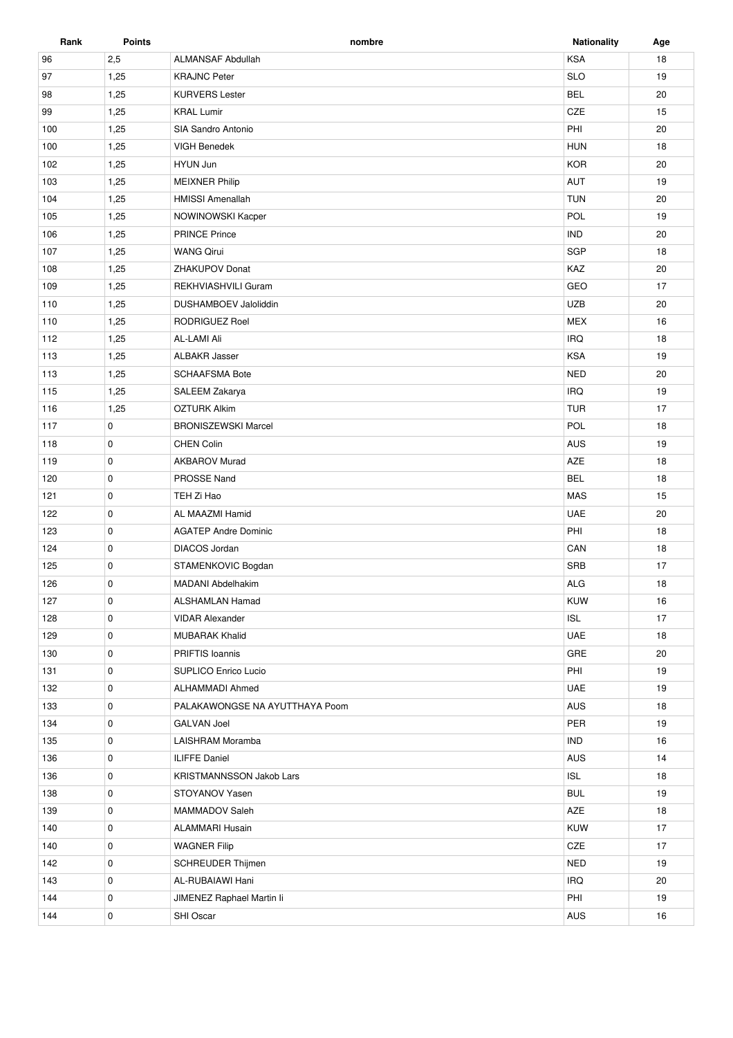| Rank | <b>Points</b> | nombre                         | <b>Nationality</b> | Age |
|------|---------------|--------------------------------|--------------------|-----|
| 96   | 2,5           | <b>ALMANSAF Abdullah</b>       | <b>KSA</b>         | 18  |
| 97   | 1,25          | <b>KRAJNC Peter</b>            | <b>SLO</b>         | 19  |
| 98   | 1,25          | <b>KURVERS Lester</b>          | <b>BEL</b>         | 20  |
| 99   | 1,25          | <b>KRAL Lumir</b>              | CZE                | 15  |
| 100  | 1,25          | SIA Sandro Antonio             | PHI                | 20  |
| 100  | 1,25          | <b>VIGH Benedek</b>            | <b>HUN</b>         | 18  |
| 102  | 1,25          | HYUN Jun                       | <b>KOR</b>         | 20  |
| 103  | 1,25          | <b>MEIXNER Philip</b>          | AUT                | 19  |
| 104  | 1,25          | <b>HMISSI Amenallah</b>        | <b>TUN</b>         | 20  |
| 105  | 1,25          | NOWINOWSKI Kacper              | POL                | 19  |
| 106  | 1,25          | <b>PRINCE Prince</b>           | <b>IND</b>         | 20  |
| 107  | 1,25          | <b>WANG Qirui</b>              | SGP                | 18  |
| 108  | 1,25          | ZHAKUPOV Donat                 | KAZ                | 20  |
| 109  | 1,25          | REKHVIASHVILI Guram            | GEO                | 17  |
| 110  | 1,25          | <b>DUSHAMBOEV Jaloliddin</b>   | <b>UZB</b>         | 20  |
| 110  | 1,25          | <b>RODRIGUEZ Roel</b>          | <b>MEX</b>         | 16  |
| 112  | 1,25          | AL-LAMI Ali                    | <b>IRQ</b>         | 18  |
| 113  | 1,25          | <b>ALBAKR Jasser</b>           | <b>KSA</b>         | 19  |
| 113  | 1,25          | <b>SCHAAFSMA Bote</b>          | <b>NED</b>         | 20  |
| 115  | 1,25          | SALEEM Zakarya                 | <b>IRQ</b>         | 19  |
| 116  | 1,25          | <b>OZTURK Alkim</b>            | <b>TUR</b>         | 17  |
| 117  | 0             | <b>BRONISZEWSKI Marcel</b>     | POL                | 18  |
| 118  | 0             | <b>CHEN Colin</b>              | AUS                | 19  |
| 119  | $\mathbf 0$   | <b>AKBAROV Murad</b>           | AZE                | 18  |
| 120  | 0             | PROSSE Nand                    | <b>BEL</b>         | 18  |
| 121  |               | TEH Zi Hao                     | <b>MAS</b>         | 15  |
|      | 0             |                                |                    |     |
| 122  | 0             | AL MAAZMI Hamid                | <b>UAE</b>         | 20  |
| 123  | 0             | <b>AGATEP Andre Dominic</b>    | PHI                | 18  |
| 124  | 0             | DIACOS Jordan                  | CAN                | 18  |
| 125  | 0             | STAMENKOVIC Bogdan             | <b>SRB</b>         | 17  |
| 126  | $\mathbf 0$   | <b>MADANI Abdelhakim</b>       | <b>ALG</b>         | 18  |
| 127  | 0             | ALSHAMLAN Hamad                | KUW                | 16  |
| 128  | 0             | <b>VIDAR Alexander</b>         | ISL                | 17  |
| 129  | 0             | <b>MUBARAK Khalid</b>          | UAE                | 18  |
| 130  | 0             | PRIFTIS Ioannis                | GRE                | 20  |
| 131  | 0             | SUPLICO Enrico Lucio           | PHI                | 19  |
| 132  | 0             | ALHAMMADI Ahmed                | UAE                | 19  |
| 133  | 0             | PALAKAWONGSE NA AYUTTHAYA Poom | AUS                | 18  |
| 134  | 0             | <b>GALVAN Joel</b>             | PER                | 19  |
| 135  | 0             | LAISHRAM Moramba               | <b>IND</b>         | 16  |
| 136  | 0             | <b>ILIFFE Daniel</b>           | AUS                | 14  |
| 136  | 0             | KRISTMANNSSON Jakob Lars       | ISL                | 18  |
| 138  | 0             | STOYANOV Yasen                 | <b>BUL</b>         | 19  |
| 139  | 0             | MAMMADOV Saleh                 | AZE                | 18  |
| 140  | 0             | ALAMMARI Husain                | <b>KUW</b>         | 17  |
| 140  | 0             | <b>WAGNER Filip</b>            | $CZE$              | 17  |
| 142  | 0             | SCHREUDER Thijmen              | <b>NED</b>         | 19  |
| 143  | 0             | AL-RUBAIAWI Hani               | <b>IRQ</b>         | 20  |
| 144  | 0             | JIMENEZ Raphael Martin li      | PHI                | 19  |
| 144  | 0             | SHI Oscar                      | <b>AUS</b>         | 16  |